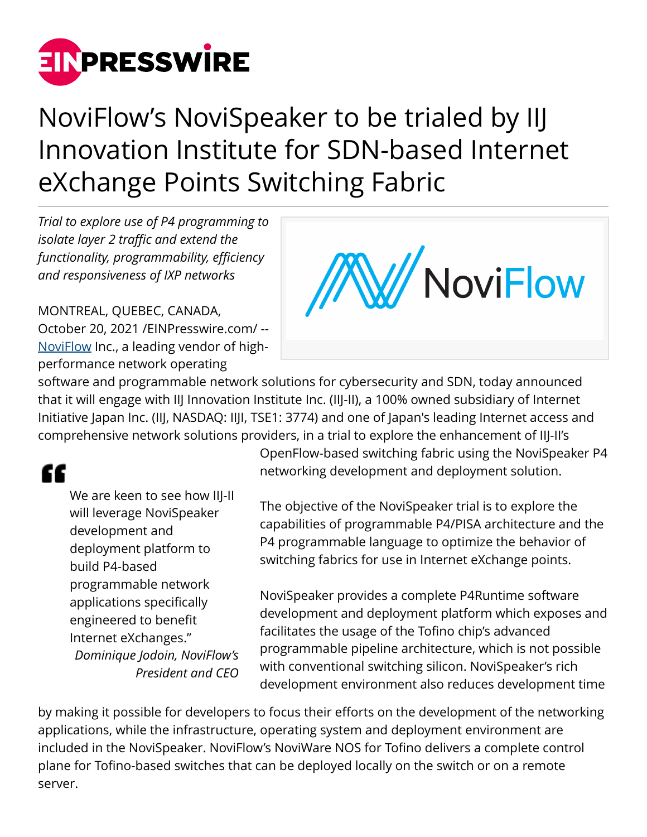

# NoviFlow's NoviSpeaker to be trialed by IIJ Innovation Institute for SDN-based Internet eXchange Points Switching Fabric

*Trial to explore use of P4 programming to isolate layer 2 traffic and extend the functionality, programmability, efficiency and responsiveness of IXP networks*

MONTREAL, QUEBEC, CANADA, October 20, 2021 [/EINPresswire.com](http://www.einpresswire.com)/ -- [NoviFlow](https://noviflow.com/) Inc., a leading vendor of highperformance network operating



software and programmable network solutions for cybersecurity and SDN, today announced that it will engage with IIJ Innovation Institute Inc. (IIJ-II), a 100% owned subsidiary of Internet Initiative Japan Inc. (IIJ, NASDAQ: IIJI, TSE1: 3774) and one of Japan's leading Internet access and comprehensive network solutions providers, in a trial to explore the enhancement of IIJ-II's

## "

We are keen to see how IIJ-II will leverage NoviSpeaker development and deployment platform to build P4-based programmable network applications specifically engineered to benefit Internet eXchanges." *Dominique Jodoin, NoviFlow's President and CEO* OpenFlow-based switching fabric using the NoviSpeaker P4 networking development and deployment solution.

The objective of the NoviSpeaker trial is to explore the capabilities of programmable P4/PISA architecture and the P4 programmable language to optimize the behavior of switching fabrics for use in Internet eXchange points.

NoviSpeaker provides a complete P4Runtime software development and deployment platform which exposes and facilitates the usage of the Tofino chip's advanced programmable pipeline architecture, which is not possible with conventional switching silicon. NoviSpeaker's rich development environment also reduces development time

by making it possible for developers to focus their efforts on the development of the networking applications, while the infrastructure, operating system and deployment environment are included in the NoviSpeaker. NoviFlow's NoviWare NOS for Tofino delivers a complete control plane for Tofino-based switches that can be deployed locally on the switch or on a remote server.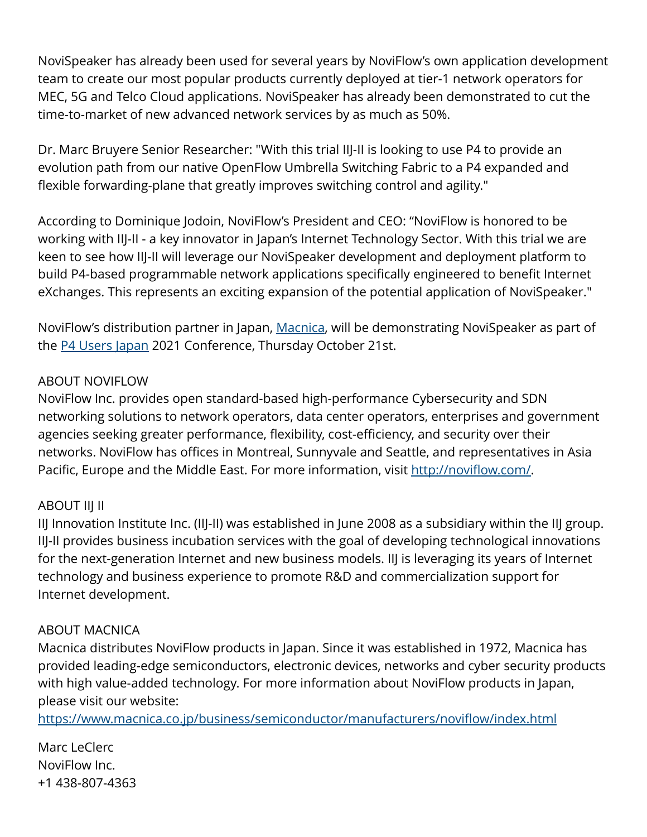NoviSpeaker has already been used for several years by NoviFlow's own application development team to create our most popular products currently deployed at tier-1 network operators for MEC, 5G and Telco Cloud applications. NoviSpeaker has already been demonstrated to cut the time-to-market of new advanced network services by as much as 50%.

Dr. Marc Bruyere Senior Researcher: "With this trial IIJ-II is looking to use P4 to provide an evolution path from our native OpenFlow Umbrella Switching Fabric to a P4 expanded and flexible forwarding-plane that greatly improves switching control and agility."

According to Dominique Jodoin, NoviFlow's President and CEO: "NoviFlow is honored to be working with IIJ-II - a key innovator in Japan's Internet Technology Sector. With this trial we are keen to see how IIJ-II will leverage our NoviSpeaker development and deployment platform to build P4-based programmable network applications specifically engineered to benefit Internet eXchanges. This represents an exciting expansion of the potential application of NoviSpeaker."

NoviFlow's distribution partner in Japan, [Macnica,](https://www.macnica.co.jp/business/semiconductor/manufacturers/noviflow/index.html) will be demonstrating NoviSpeaker as part of the [P4 Users Japan](https://p4users.org/events/p4usersjp2021-en/) 2021 Conference, Thursday October 21st.

#### ABOUT NOVIFLOW

NoviFlow Inc. provides open standard-based high-performance Cybersecurity and SDN networking solutions to network operators, data center operators, enterprises and government agencies seeking greater performance, flexibility, cost-efficiency, and security over their networks. NoviFlow has offices in Montreal, Sunnyvale and Seattle, and representatives in Asia Pacific, Europe and the Middle East. For more information, visit<http://noviflow.com/>.

### ABOUT IIJ II

IIJ Innovation Institute Inc. (IIJ-II) was established in June 2008 as a subsidiary within the IIJ group. IIJ-II provides business incubation services with the goal of developing technological innovations for the next-generation Internet and new business models. IIJ is leveraging its years of Internet technology and business experience to promote R&D and commercialization support for Internet development.

#### ABOUT MACNICA

Macnica distributes NoviFlow products in Japan. Since it was established in 1972, Macnica has provided leading-edge semiconductors, electronic devices, networks and cyber security products with high value-added technology. For more information about NoviFlow products in Japan, please visit our website:

<https://www.macnica.co.jp/business/semiconductor/manufacturers/noviflow/index.html>

Marc LeClerc NoviFlow Inc. +1 438-807-4363